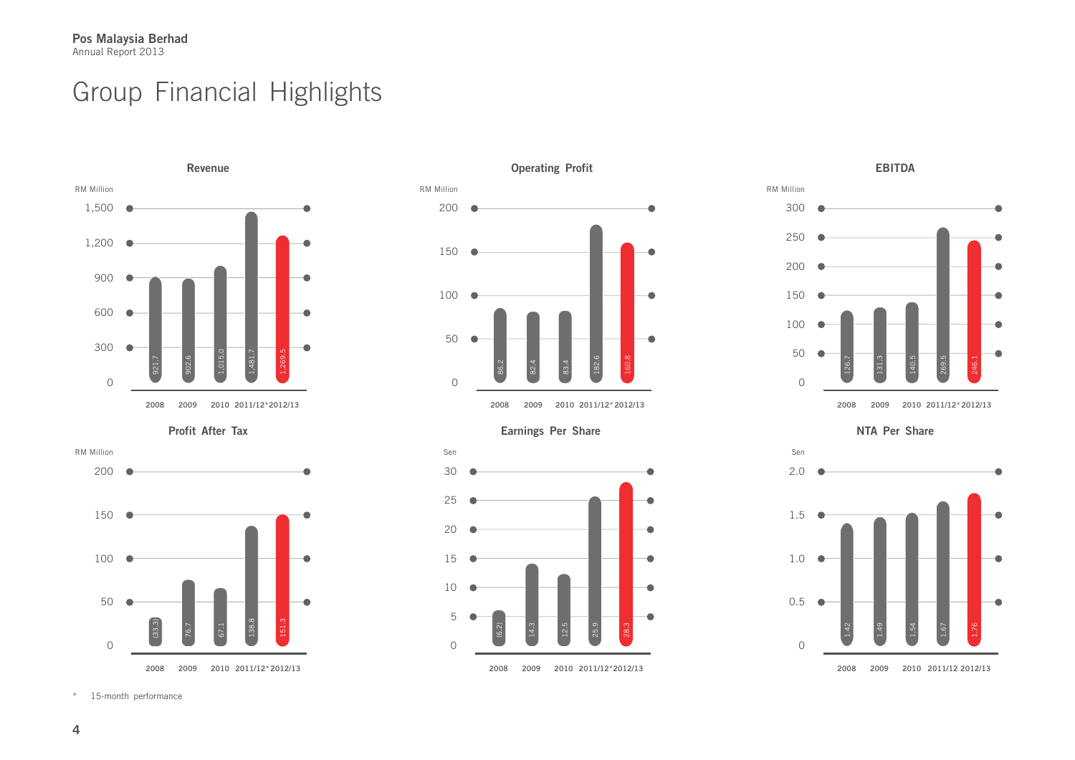## Group Financial Highlights



**Profit After Tax**









\* 15-month performance